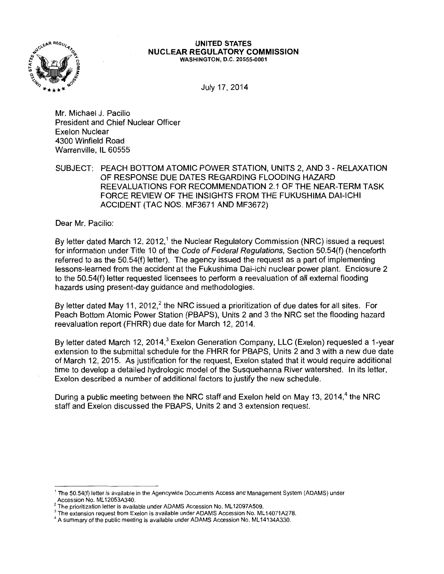

## UNITED STATES NUCLEAR REGULATORY COMMISSION WASHINGTON, D.C. 20555-0001

July 17, 2014

Mr. Michael J. Pacilio President and Chief Nuclear Officer Exelon Nuclear 4300 Winfield Road Warrenville, IL 60555

SUBJECT: PEACH BOTTOM ATOMIC POWER STATION, UNITS 2, AND 3- RELAXATION OF RESPONSE DUE DATES REGARDING FLOODING HAZARD REEVALUATIONS FOR RECOMMENDATION 2.1 OF THE NEAR-TERM TASK FORCE REVIEW OF THE INSIGHTS FROM THE FUKUSHIMA DAI-ICHI ACCIDENT (TAC NOS. MF3671 AND MF3672)

Dear Mr. Pacilio:

By letter dated March 12, 2012,<sup>1</sup> the Nuclear Regulatory Commission (NRC) issued a request for information under Title 10 of the Code of Federal Regulations, Section 50.54(f) (henceforth referred to as the 50.54(f) letter). The agency issued the request as a part of implementing lessons-learned from the accident at the Fukushima Dai-ichi nuclear power plant. Enclosure 2 to the 50.54(f) letter requested licensees to perform a reevaluation of all external flooding hazards using present-day guidance and methodologies.

By letter dated May 11, 2012, $^2$  the NRC issued a prioritization of due dates for all sites. For Peach Bottom Atomic Power Station (PBAPS), Units 2 and 3 the NRC set the flooding hazard reevaluation report (FHRR) due date for March 12, 2014.

By letter dated March 12, 2014,<sup>3</sup> Exelon Generation Company, LLC (Exelon) requested a 1-year extension to the submittal schedule for the FHRR for PBAPS, Units 2 and 3 with a new due date of March 12, 2015. As justification for the request, Exelon stated that it would require additional time to develop a detailed hydrologic model of the Susquehanna River watershed. In its letter, Exelon described a number of additional factors to justify the new schedule.

During a public meeting between the NRC staff and Exelon held on May 13, 2014,<sup>4</sup> the NRC staff and Exelon discussed the PBAPS, Units 2 and 3 extension request.

<sup>&</sup>lt;sup>1</sup> The 50.54(f) letter is available in the Agencywide Documents Access and Management System (ADAMS) under<br>Accession No. ML12053A340.

<sup>&</sup>lt;sup>2</sup> The prioritization letter is available under ADAMS Accession No. ML12097A509.<br>
<sup>3</sup> The prioritization request from Exelon is available under ADAMS Accession No. ML14071A278.<br>
<sup>4</sup> A summary of the public meeting is ava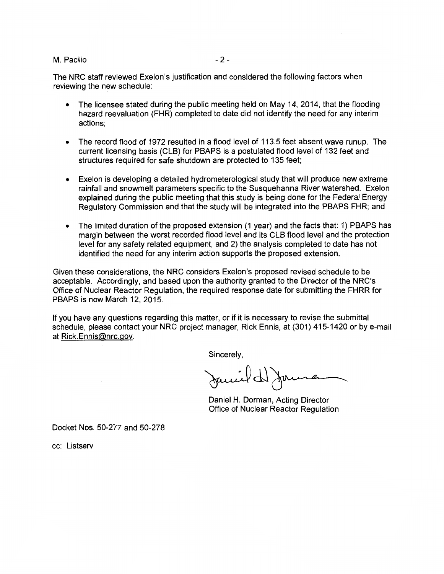## M. Pacilio  $-2$ -

The NRC staff reviewed Exelon's justification and considered the following factors when reviewing the new schedule:

- The licensee stated during the public meeting held on May 14, 2014, that the flooding hazard reevaluation (FHR) completed to date did not identify the need for any interim actions;
- The record flood of 1972 resulted in a flood level of 113.5 feet absent wave runup. The current licensing basis (CLB) for PBAPS is a postulated flood level of 132 feet and structures required for safe shutdown are protected to 135 feet;
- Exelon is developing a detailed hydrometerological study that will produce new extreme rainfall and snowmelt parameters specific to the Susquehanna River watershed. Exelon explained during the public meeting that this study is being done for the Federal Energy Regulatory Commission and that the study will be integrated into the PBAPS FHR; and
- The limited duration of the proposed extension (1 year) and the facts that: 1) PBAPS has margin between the worst recorded flood level and its CLB flood level and the protection level for any safety related equipment, and 2) the analysis completed to date has not identified the need for any interim action supports the proposed extension.

Given these considerations, the NRC considers Exelon's proposed revised schedule to be acceptable. Accordingly, and based upon the authority granted to the Director of the NRC's Office of Nuclear Reactor Regulation, the required response date for submitting the FHRR for PBAPS is now March 12, 2015.

If you have any questions regarding this matter, or if it is necessary to revise the submittal schedule, please contact your NRC project manager, Rick Ennis, at (301) 415-1420 or by e-mail at Rick.Ennis@nrc.gov.

Sincerely,

Jamild Jame

Daniel H. Dorman, Acting Director Office of Nuclear Reactor Regulation

Docket Nos. 50-277 and 50-278

cc: Listserv